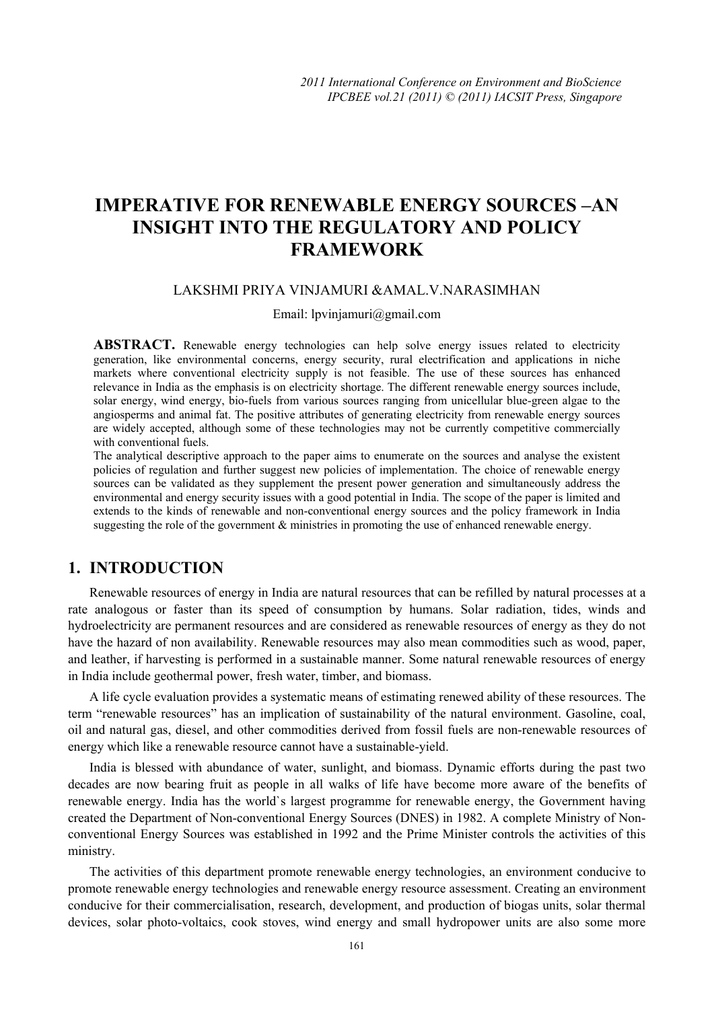# **IMPERATIVE FOR RENEWABLE ENERGY SOURCES –AN INSIGHT INTO THE REGULATORY AND POLICY FRAMEWORK**

### LAKSHMI PRIYA VINJAMURI &AMAL.V.NARASIMHAN

#### Email: lpvinjamuri@gmail.com

ABSTRACT. Renewable energy technologies can help solve energy issues related to electricity generation, like environmental concerns, energy security, rural electrification and applications in niche markets where conventional electricity supply is not feasible. The use of these sources has enhanced relevance in India as the emphasis is on electricity shortage. The different renewable energy sources include, solar energy, wind energy, bio-fuels from various sources ranging from unicellular blue-green algae to the angiosperms and animal fat. The positive attributes of generating electricity from renewable energy sources are widely accepted, although some of these technologies may not be currently competitive commercially with conventional fuels.

The analytical descriptive approach to the paper aims to enumerate on the sources and analyse the existent policies of regulation and further suggest new policies of implementation. The choice of renewable energy sources can be validated as they supplement the present power generation and simultaneously address the environmental and energy security issues with a good potential in India. The scope of the paper is limited and extends to the kinds of renewable and non-conventional energy sources and the policy framework in India suggesting the role of the government & ministries in promoting the use of enhanced renewable energy.

# **1. INTRODUCTION**

Renewable resources of energy in India are natural resources that can be refilled by natural processes at a rate analogous or faster than its speed of consumption by humans. Solar radiation, tides, winds and hydroelectricity are permanent resources and are considered as renewable resources of energy as they do not have the hazard of non availability. Renewable resources may also mean commodities such as wood, paper, and leather, if harvesting is performed in a sustainable manner. Some natural renewable resources of energy in India include geothermal power, fresh water, timber, and biomass.

A life cycle evaluation provides a systematic means of estimating renewed ability of these resources. The term "renewable resources" has an implication of sustainability of the natural environment. Gasoline, coal, oil and natural gas, diesel, and other commodities derived from fossil fuels are non-renewable resources of energy which like a renewable resource cannot have a sustainable-yield.

India is blessed with abundance of water, sunlight, and biomass. Dynamic efforts during the past two decades are now bearing fruit as people in all walks of life have become more aware of the benefits of renewable energy. India has the world`s largest programme for renewable energy, the Government having created the Department of Non-conventional Energy Sources (DNES) in 1982. A complete Ministry of Nonconventional Energy Sources was established in 1992 and the Prime Minister controls the activities of this ministry.

The activities of this department promote renewable energy technologies, an environment conducive to promote renewable energy technologies and renewable energy resource assessment. Creating an environment conducive for their commercialisation, research, development, and production of biogas units, solar thermal devices, solar photo-voltaics, cook stoves, wind energy and small hydropower units are also some more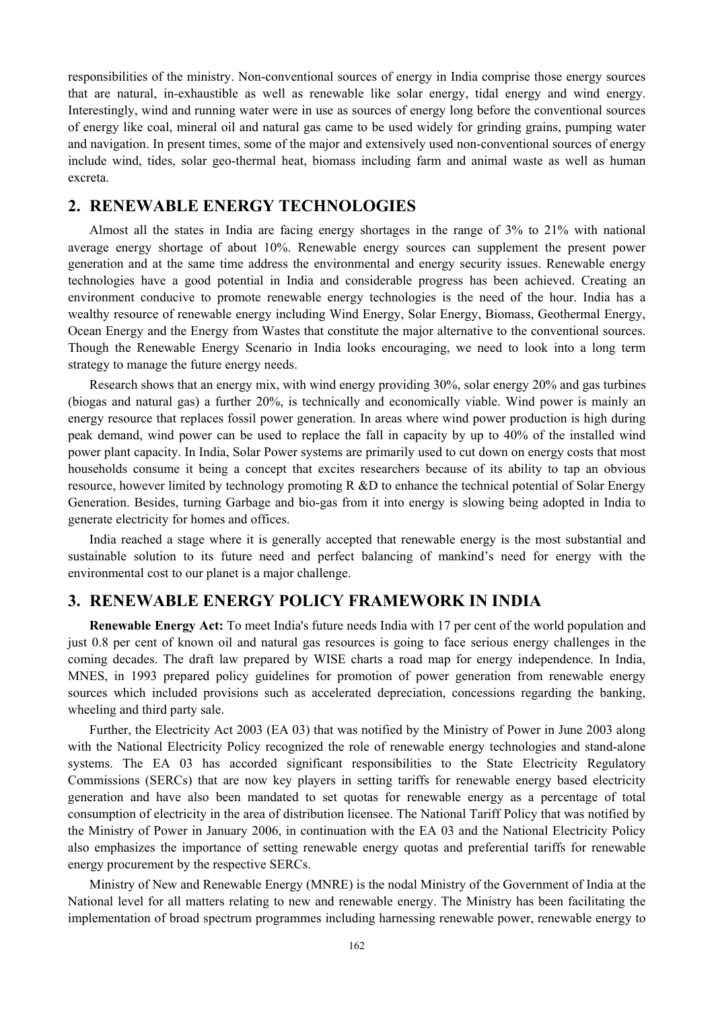responsibilities of the ministry. Non-conventional sources of energy in India comprise those energy sources that are natural, in-exhaustible as well as renewable like solar energy, tidal energy and wind energy. Interestingly, wind and running water were in use as sources of energy long before the conventional sources of energy like coal, mineral oil and natural gas came to be used widely for grinding grains, pumping water and navigation. In present times, some of the major and extensively used non-conventional sources of energy include wind, tides, solar geo-thermal heat, biomass including farm and animal waste as well as human excreta.

# **2. RENEWABLE ENERGY TECHNOLOGIES**

Almost all the states in India are facing energy shortages in the range of 3% to 21% with national average energy shortage of about 10%. Renewable energy sources can supplement the present power generation and at the same time address the environmental and energy security issues. Renewable energy technologies have a good potential in India and considerable progress has been achieved. Creating an environment conducive to promote renewable energy technologies is the need of the hour. India has a wealthy resource of renewable energy including Wind Energy, Solar Energy, Biomass, Geothermal Energy, Ocean Energy and the Energy from Wastes that constitute the major alternative to the conventional sources. Though the Renewable Energy Scenario in India looks encouraging, we need to look into a long term strategy to manage the future energy needs.

Research shows that an energy mix, with wind energy providing 30%, solar energy 20% and gas turbines (biogas and natural gas) a further 20%, is technically and economically viable. Wind power is mainly an energy resource that replaces fossil power generation. In areas where wind power production is high during peak demand, wind power can be used to replace the fall in capacity by up to 40% of the installed wind power plant capacity. In India, Solar Power systems are primarily used to cut down on energy costs that most households consume it being a concept that excites researchers because of its ability to tap an obvious resource, however limited by technology promoting R &D to enhance the technical potential of Solar Energy Generation. Besides, turning Garbage and bio-gas from it into energy is slowing being adopted in India to generate electricity for homes and offices.

India reached a stage where it is generally accepted that renewable energy is the most substantial and sustainable solution to its future need and perfect balancing of mankind's need for energy with the environmental cost to our planet is a major challenge.

# **3. RENEWABLE ENERGY POLICY FRAMEWORK IN INDIA**

**Renewable Energy Act:** To meet India's future needs India with 17 per cent of the world population and just 0.8 per cent of known oil and natural gas resources is going to face serious energy challenges in the coming decades. The draft law prepared by WISE charts a road map for energy independence. In India, MNES, in 1993 prepared policy guidelines for promotion of power generation from renewable energy sources which included provisions such as accelerated depreciation, concessions regarding the banking, wheeling and third party sale.

Further, the Electricity Act 2003 (EA 03) that was notified by the Ministry of Power in June 2003 along with the National Electricity Policy recognized the role of renewable energy technologies and stand-alone systems. The EA 03 has accorded significant responsibilities to the State Electricity Regulatory Commissions (SERCs) that are now key players in setting tariffs for renewable energy based electricity generation and have also been mandated to set quotas for renewable energy as a percentage of total consumption of electricity in the area of distribution licensee. The National Tariff Policy that was notified by the Ministry of Power in January 2006, in continuation with the EA 03 and the National Electricity Policy also emphasizes the importance of setting renewable energy quotas and preferential tariffs for renewable energy procurement by the respective SERCs.

Ministry of New and Renewable Energy (MNRE) is the nodal Ministry of the Government of India at the National level for all matters relating to new and renewable energy. The Ministry has been facilitating the implementation of broad spectrum programmes including harnessing renewable power, renewable energy to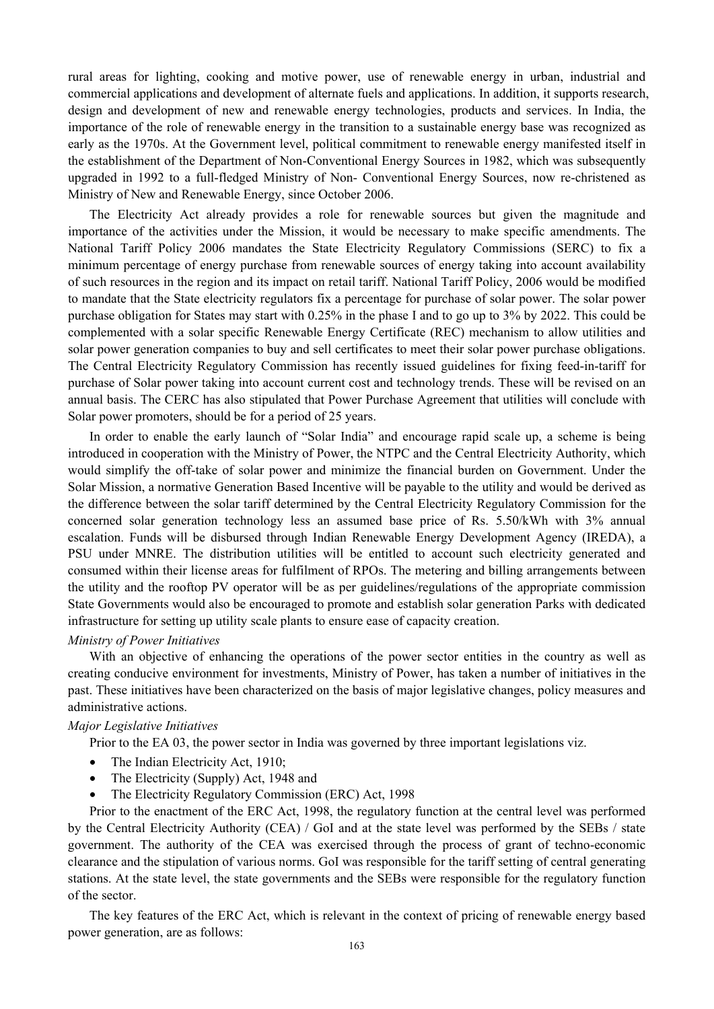rural areas for lighting, cooking and motive power, use of renewable energy in urban, industrial and commercial applications and development of alternate fuels and applications. In addition, it supports research, design and development of new and renewable energy technologies, products and services. In India, the importance of the role of renewable energy in the transition to a sustainable energy base was recognized as early as the 1970s. At the Government level, political commitment to renewable energy manifested itself in the establishment of the Department of Non-Conventional Energy Sources in 1982, which was subsequently upgraded in 1992 to a full-fledged Ministry of Non- Conventional Energy Sources, now re-christened as Ministry of New and Renewable Energy, since October 2006.

The Electricity Act already provides a role for renewable sources but given the magnitude and importance of the activities under the Mission, it would be necessary to make specific amendments. The National Tariff Policy 2006 mandates the State Electricity Regulatory Commissions (SERC) to fix a minimum percentage of energy purchase from renewable sources of energy taking into account availability of such resources in the region and its impact on retail tariff. National Tariff Policy, 2006 would be modified to mandate that the State electricity regulators fix a percentage for purchase of solar power. The solar power purchase obligation for States may start with 0.25% in the phase I and to go up to 3% by 2022. This could be complemented with a solar specific Renewable Energy Certificate (REC) mechanism to allow utilities and solar power generation companies to buy and sell certificates to meet their solar power purchase obligations. The Central Electricity Regulatory Commission has recently issued guidelines for fixing feed-in-tariff for purchase of Solar power taking into account current cost and technology trends. These will be revised on an annual basis. The CERC has also stipulated that Power Purchase Agreement that utilities will conclude with Solar power promoters, should be for a period of 25 years.

In order to enable the early launch of "Solar India" and encourage rapid scale up, a scheme is being introduced in cooperation with the Ministry of Power, the NTPC and the Central Electricity Authority, which would simplify the off-take of solar power and minimize the financial burden on Government. Under the Solar Mission, a normative Generation Based Incentive will be payable to the utility and would be derived as the difference between the solar tariff determined by the Central Electricity Regulatory Commission for the concerned solar generation technology less an assumed base price of Rs. 5.50/kWh with 3% annual escalation. Funds will be disbursed through Indian Renewable Energy Development Agency (IREDA), a PSU under MNRE. The distribution utilities will be entitled to account such electricity generated and consumed within their license areas for fulfilment of RPOs. The metering and billing arrangements between the utility and the rooftop PV operator will be as per guidelines/regulations of the appropriate commission State Governments would also be encouraged to promote and establish solar generation Parks with dedicated infrastructure for setting up utility scale plants to ensure ease of capacity creation.

#### *Ministry of Power Initiatives*

With an objective of enhancing the operations of the power sector entities in the country as well as creating conducive environment for investments, Ministry of Power, has taken a number of initiatives in the past. These initiatives have been characterized on the basis of major legislative changes, policy measures and administrative actions.

#### *Major Legislative Initiatives*

Prior to the EA 03, the power sector in India was governed by three important legislations viz.

- The Indian Electricity Act, 1910;
- The Electricity (Supply) Act, 1948 and
- The Electricity Regulatory Commission (ERC) Act, 1998

Prior to the enactment of the ERC Act, 1998, the regulatory function at the central level was performed by the Central Electricity Authority (CEA) / GoI and at the state level was performed by the SEBs / state government. The authority of the CEA was exercised through the process of grant of techno-economic clearance and the stipulation of various norms. GoI was responsible for the tariff setting of central generating stations. At the state level, the state governments and the SEBs were responsible for the regulatory function of the sector.

The key features of the ERC Act, which is relevant in the context of pricing of renewable energy based power generation, are as follows: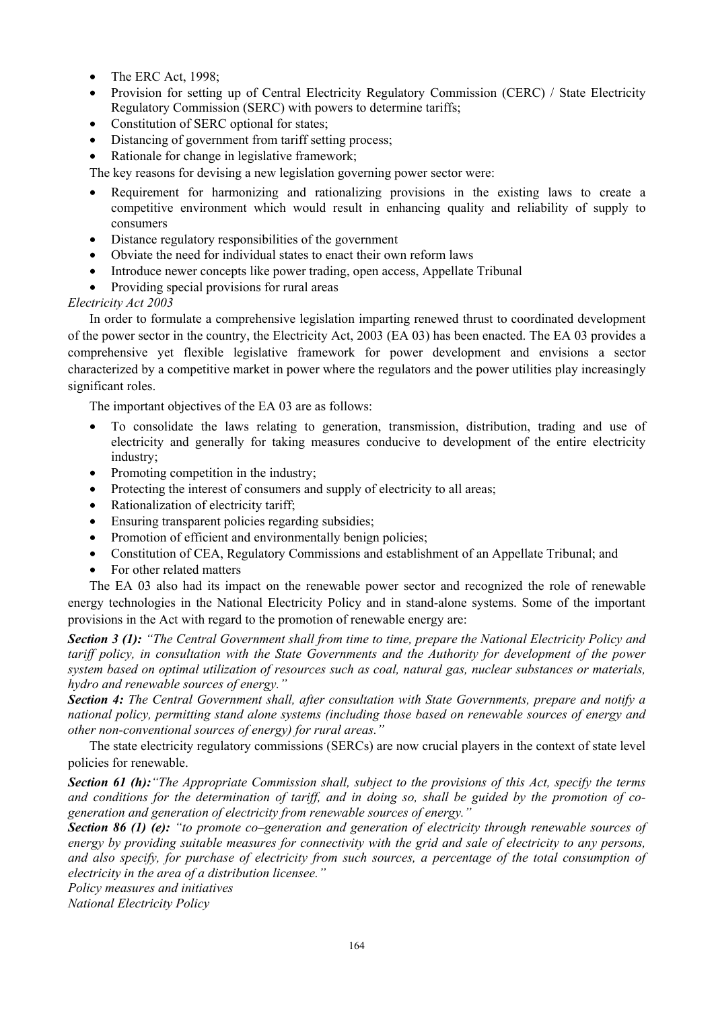- The ERC Act, 1998:
- Provision for setting up of Central Electricity Regulatory Commission (CERC) / State Electricity Regulatory Commission (SERC) with powers to determine tariffs;
- Constitution of SERC optional for states;
- Distancing of government from tariff setting process;
- Rationale for change in legislative framework;

The key reasons for devising a new legislation governing power sector were:

- Requirement for harmonizing and rationalizing provisions in the existing laws to create a competitive environment which would result in enhancing quality and reliability of supply to consumers
- Distance regulatory responsibilities of the government
- Obviate the need for individual states to enact their own reform laws
- Introduce newer concepts like power trading, open access, Appellate Tribunal
- Providing special provisions for rural areas

# *Electricity Act 2003*

In order to formulate a comprehensive legislation imparting renewed thrust to coordinated development of the power sector in the country, the Electricity Act, 2003 (EA 03) has been enacted. The EA 03 provides a comprehensive yet flexible legislative framework for power development and envisions a sector characterized by a competitive market in power where the regulators and the power utilities play increasingly significant roles.

The important objectives of the EA 03 are as follows:

- To consolidate the laws relating to generation, transmission, distribution, trading and use of electricity and generally for taking measures conducive to development of the entire electricity industry;
- Promoting competition in the industry;
- Protecting the interest of consumers and supply of electricity to all areas;
- Rationalization of electricity tariff;
- Ensuring transparent policies regarding subsidies;
- Promotion of efficient and environmentally benign policies;
- Constitution of CEA, Regulatory Commissions and establishment of an Appellate Tribunal; and
- For other related matters

The EA 03 also had its impact on the renewable power sector and recognized the role of renewable energy technologies in the National Electricity Policy and in stand-alone systems. Some of the important provisions in the Act with regard to the promotion of renewable energy are:

*Section 3 (1): "The Central Government shall from time to time, prepare the National Electricity Policy and tariff policy, in consultation with the State Governments and the Authority for development of the power system based on optimal utilization of resources such as coal, natural gas, nuclear substances or materials, hydro and renewable sources of energy."* 

*Section 4: The Central Government shall, after consultation with State Governments, prepare and notify a national policy, permitting stand alone systems (including those based on renewable sources of energy and other non-conventional sources of energy) for rural areas."*

The state electricity regulatory commissions (SERCs) are now crucial players in the context of state level policies for renewable.

*Section 61 (h):"The Appropriate Commission shall, subject to the provisions of this Act, specify the terms and conditions for the determination of tariff, and in doing so, shall be guided by the promotion of cogeneration and generation of electricity from renewable sources of energy."* 

*Section 86 (1) (e): "to promote co–generation and generation of electricity through renewable sources of energy by providing suitable measures for connectivity with the grid and sale of electricity to any persons, and also specify, for purchase of electricity from such sources, a percentage of the total consumption of electricity in the area of a distribution licensee."* 

*Policy measures and initiatives* 

*National Electricity Policy*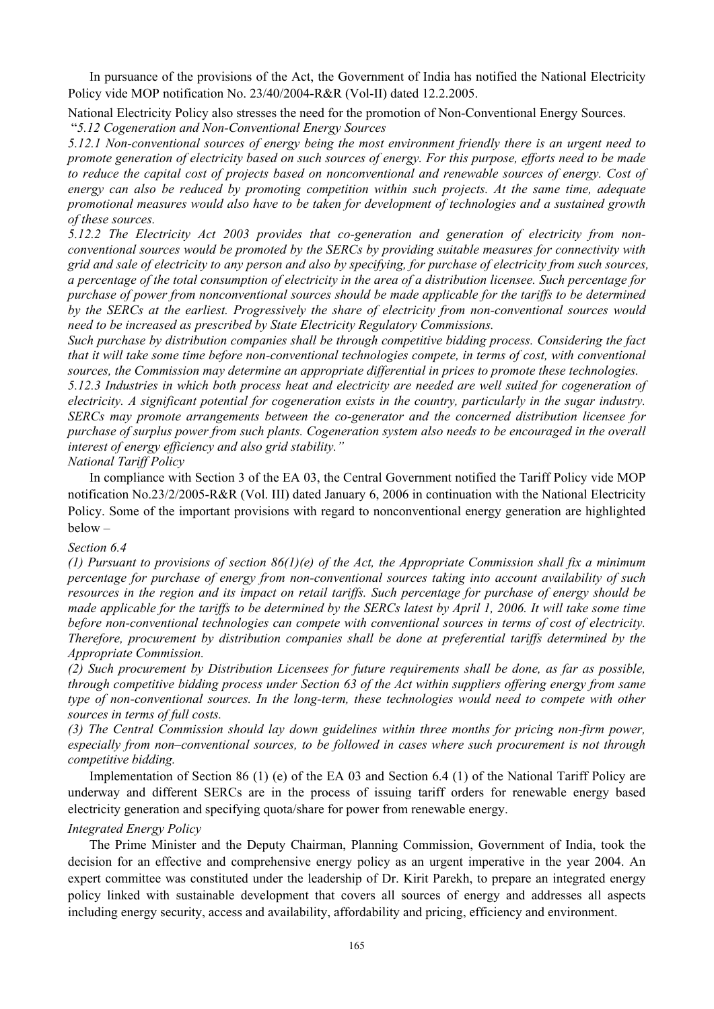In pursuance of the provisions of the Act, the Government of India has notified the National Electricity Policy vide MOP notification No. 23/40/2004-R&R (Vol-II) dated 12.2.2005.

National Electricity Policy also stresses the need for the promotion of Non-Conventional Energy Sources.

"*5.12 Cogeneration and Non-Conventional Energy Sources* 

*5.12.1 Non-conventional sources of energy being the most environment friendly there is an urgent need to promote generation of electricity based on such sources of energy. For this purpose, efforts need to be made to reduce the capital cost of projects based on nonconventional and renewable sources of energy. Cost of energy can also be reduced by promoting competition within such projects. At the same time, adequate promotional measures would also have to be taken for development of technologies and a sustained growth of these sources.* 

*5.12.2 The Electricity Act 2003 provides that co-generation and generation of electricity from nonconventional sources would be promoted by the SERCs by providing suitable measures for connectivity with grid and sale of electricity to any person and also by specifying, for purchase of electricity from such sources, a percentage of the total consumption of electricity in the area of a distribution licensee. Such percentage for purchase of power from nonconventional sources should be made applicable for the tariffs to be determined by the SERCs at the earliest. Progressively the share of electricity from non-conventional sources would need to be increased as prescribed by State Electricity Regulatory Commissions.* 

*Such purchase by distribution companies shall be through competitive bidding process. Considering the fact that it will take some time before non-conventional technologies compete, in terms of cost, with conventional sources, the Commission may determine an appropriate differential in prices to promote these technologies.* 

*5.12.3 Industries in which both process heat and electricity are needed are well suited for cogeneration of electricity. A significant potential for cogeneration exists in the country, particularly in the sugar industry. SERCs may promote arrangements between the co-generator and the concerned distribution licensee for purchase of surplus power from such plants. Cogeneration system also needs to be encouraged in the overall interest of energy efficiency and also grid stability."* 

*National Tariff Policy* 

In compliance with Section 3 of the EA 03, the Central Government notified the Tariff Policy vide MOP notification No.23/2/2005-R&R (Vol. III) dated January 6, 2006 in continuation with the National Electricity Policy. Some of the important provisions with regard to nonconventional energy generation are highlighted below –

# *Section 6.4*

*(1) Pursuant to provisions of section 86(1)(e) of the Act, the Appropriate Commission shall fix a minimum percentage for purchase of energy from non-conventional sources taking into account availability of such resources in the region and its impact on retail tariffs. Such percentage for purchase of energy should be made applicable for the tariffs to be determined by the SERCs latest by April 1, 2006. It will take some time before non-conventional technologies can compete with conventional sources in terms of cost of electricity. Therefore, procurement by distribution companies shall be done at preferential tariffs determined by the Appropriate Commission.* 

*(2) Such procurement by Distribution Licensees for future requirements shall be done, as far as possible, through competitive bidding process under Section 63 of the Act within suppliers offering energy from same type of non-conventional sources. In the long-term, these technologies would need to compete with other sources in terms of full costs.* 

*(3) The Central Commission should lay down guidelines within three months for pricing non-firm power, especially from non–conventional sources, to be followed in cases where such procurement is not through competitive bidding.* 

Implementation of Section 86 (1) (e) of the EA 03 and Section 6.4 (1) of the National Tariff Policy are underway and different SERCs are in the process of issuing tariff orders for renewable energy based electricity generation and specifying quota/share for power from renewable energy.

# *Integrated Energy Policy*

The Prime Minister and the Deputy Chairman, Planning Commission, Government of India, took the decision for an effective and comprehensive energy policy as an urgent imperative in the year 2004. An expert committee was constituted under the leadership of Dr. Kirit Parekh, to prepare an integrated energy policy linked with sustainable development that covers all sources of energy and addresses all aspects including energy security, access and availability, affordability and pricing, efficiency and environment.